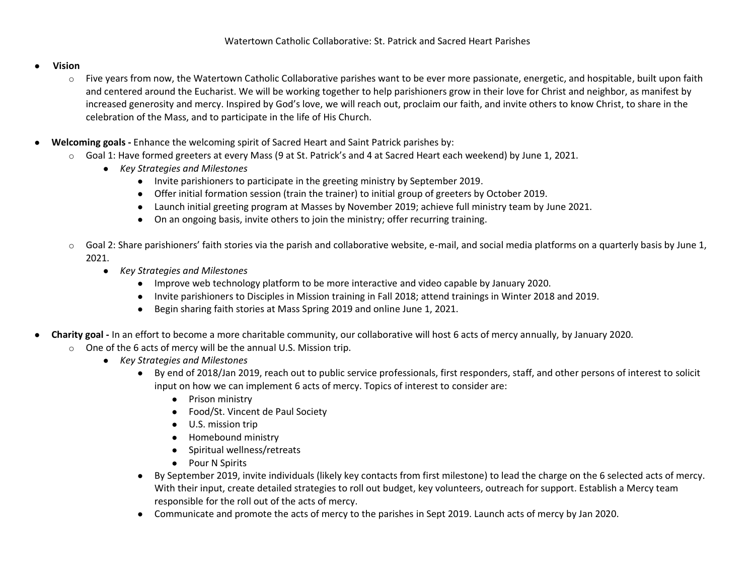## ● **Vision**

- o Five years from now, the Watertown Catholic Collaborative parishes want to be ever more passionate, energetic, and hospitable, built upon faith and centered around the Eucharist. We will be working together to help parishioners grow in their love for Christ and neighbor, as manifest by increased generosity and mercy. Inspired by God's love, we will reach out, proclaim our faith, and invite others to know Christ, to share in the celebration of the Mass, and to participate in the life of His Church.
- **Welcoming goals -** Enhance the welcoming spirit of Sacred Heart and Saint Patrick parishes by:
	- $\circ$  Goal 1: Have formed greeters at every Mass (9 at St. Patrick's and 4 at Sacred Heart each weekend) by June 1, 2021.
		- *Key Strategies and Milestones*
			- Invite parishioners to participate in the greeting ministry by September 2019.
			- Offer initial formation session (train the trainer) to initial group of greeters by October 2019.
			- Launch initial greeting program at Masses by November 2019; achieve full ministry team by June 2021.
			- On an ongoing basis, invite others to join the ministry; offer recurring training.
		- $\circ$  Goal 2: Share parishioners' faith stories via the parish and collaborative website, e-mail, and social media platforms on a quarterly basis by June 1, 2021.
			- *Key Strategies and Milestones*
				- Improve web technology platform to be more interactive and video capable by January 2020.
				- Invite parishioners to Disciples in Mission training in Fall 2018; attend trainings in Winter 2018 and 2019.
				- Begin sharing faith stories at Mass Spring 2019 and online June 1, 2021.
- **Charity goal -** In an effort to become a more charitable community, our collaborative will host 6 acts of mercy annually, by January 2020.
	- o One of the 6 acts of mercy will be the annual U.S. Mission trip.
		- *Key Strategies and Milestones*
			- By end of 2018/Jan 2019, reach out to public service professionals, first responders, staff, and other persons of interest to solicit input on how we can implement 6 acts of mercy. Topics of interest to consider are:
				- Prison ministry
				- Food/St. Vincent de Paul Society
				- U.S. mission trip
				- Homebound ministry
				- Spiritual wellness/retreats
				- Pour N Spirits
			- By September 2019, invite individuals (likely key contacts from first milestone) to lead the charge on the 6 selected acts of mercy. With their input, create detailed strategies to roll out budget, key volunteers, outreach for support. Establish a Mercy team responsible for the roll out of the acts of mercy.
			- Communicate and promote the acts of mercy to the parishes in Sept 2019. Launch acts of mercy by Jan 2020.